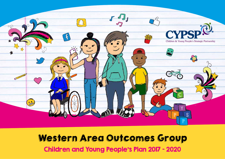

## Western Area Outcomes Group Children and Young People's Plan 2017 – 2020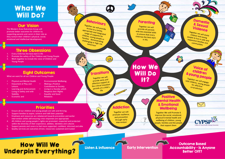## What We Will Do?

#### Our Vision

The Western Area Outcomes Group will promote better outcomes for children by supporting parents and carers in their role as they nurture their children's physical, social, emotional and intellectual development.

#### Three Obsessions

- 1. Every Child has the best start in life
- 2. Promote the safety of Our Children and Young People
- 3. Work together to include the voice of Children and Young People

#### Eight Outcomes

What we want for all our Children and Young People:

- Physical and Mental Health
- Enjoyment of Play and
- Leisure • Learning and Achievement
- Living in Safety and with
- **Stability**
- Economic and
- Environmental Wellbeing • Making a Positive
- Contribution to Society Living in a Society which Respects their Rights
- **Equality and Good**<br>Relations

## Behaviours

Together we will provide access to a timely, appropriate and integrated range of supports for children, young people or families demonstrating challenging or high risk behaviour

#### **Parenting**

Together we will provide all parents with the essential skills to ensure that every child has the best start in life.

#### **Domestic** & Sexual Violence

Together we will assist children and young people to live in safe and supportive families and communities

How We Will Do It?

Voice of children &young people Together we will engage with children, young people for effective co-production

### Transitions

 $\cdot$ 

Together we will provide early an<sup>d</sup> effective support a<sup>t</sup> the critical transition periods of a child's life

## **Addiction**

Together we will promote resilience, and prevention through early intervention

#### Mental Health & Emotional **Wellbeing**

**The Second** 

Č

Together We will Promote & improve the social, emotional, physical & mental health and wellbeing of children, young people, families and the people that support them



#### 4. All children and young people's rights are promoted, respected and protected within the diversity of their experience, abilities, identities and cultures 5. Support parents and carers to feel more supported, confident, informed and able 6. Quality services are outcomes driven, resourced, sustained and trusted

How Will We

3. Emphasis and resources are rebalanced towards prevention and earlier intervention whilst still ensuring crisis responses are appropriate

1. Ensure all our children and young people are safe and thriving 2. Support families to aspire, achieve and fulfil their potential

**Priorities** 



7

ø.

Outcome Based Accountability - Is Anyone Better Off?

# Relations **Positive**